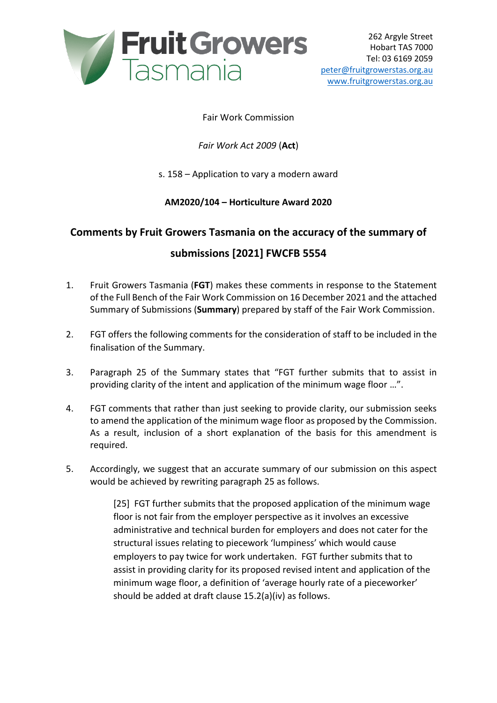

## Fair Work Commission

## *Fair Work Act 2009* (**Act**)

#### s. 158 – Application to vary a modern award

#### **AM2020/104 – Horticulture Award 2020**

# **Comments by Fruit Growers Tasmania on the accuracy of the summary of**

# **submissions [2021] FWCFB 5554**

- 1. Fruit Growers Tasmania (**FGT**) makes these comments in response to the Statement of the Full Bench of the Fair Work Commission on 16 December 2021 and the attached Summary of Submissions (**Summary**) prepared by staff of the Fair Work Commission.
- 2. FGT offers the following comments for the consideration of staff to be included in the finalisation of the Summary.
- 3. Paragraph 25 of the Summary states that "FGT further submits that to assist in providing clarity of the intent and application of the minimum wage floor …".
- 4. FGT comments that rather than just seeking to provide clarity, our submission seeks to amend the application of the minimum wage floor as proposed by the Commission. As a result, inclusion of a short explanation of the basis for this amendment is required.
- 5. Accordingly, we suggest that an accurate summary of our submission on this aspect would be achieved by rewriting paragraph 25 as follows.

[25] FGT further submits that the proposed application of the minimum wage floor is not fair from the employer perspective as it involves an excessive administrative and technical burden for employers and does not cater for the structural issues relating to piecework 'lumpiness' which would cause employers to pay twice for work undertaken. FGT further submits that to assist in providing clarity for its proposed revised intent and application of the minimum wage floor, a definition of 'average hourly rate of a pieceworker' should be added at draft clause 15.2(a)(iv) as follows.